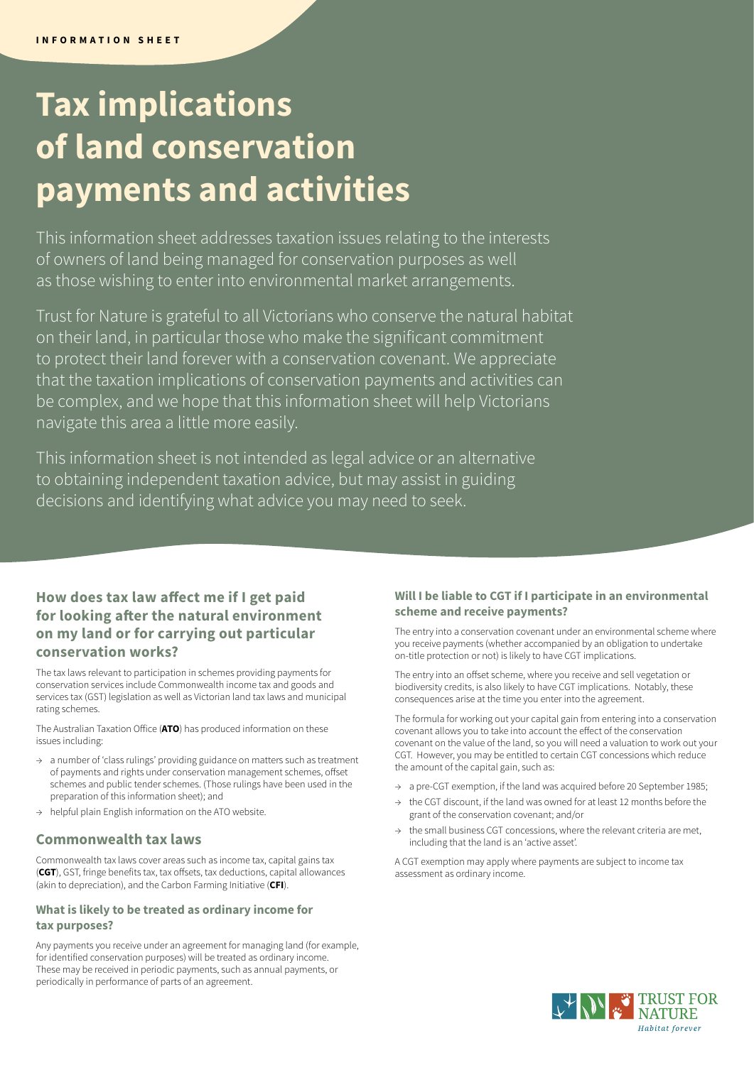# **Tax implications of land conservation payments and activities**

This information sheet addresses taxation issues relating to the interests of owners of land being managed for conservation purposes as well as those wishing to enter into environmental market arrangements.

Trust for Nature is grateful to all Victorians who conserve the natural habitat on their land, in particular those who make the significant commitment to protect their land forever with a conservation covenant. We appreciate that the taxation implications of conservation payments and activities can be complex, and we hope that this information sheet will help Victorians navigate this area a little more easily.

This information sheet is not intended as legal advice or an alternative to obtaining independent taxation advice, but may assist in guiding decisions and identifying what advice you may need to seek.

## **How does tax law affect me if I get paid for looking after the natural environment on my land or for carrying out particular conservation works?**

The tax laws relevant to participation in schemes providing payments for conservation services include Commonwealth income tax and goods and services tax (GST) legislation as well as Victorian land tax laws and municipal rating schemes.

The Australian Taxation Office (**ATO**) has produced information on these issues including:

- a number of 'class rulings' providing guidance on matters such as treatment of payments and rights under conservation management schemes, offset schemes and public tender schemes. (Those rulings have been used in the preparation of this information sheet); and
- → helpful plain English information on the ATO website.

#### **Commonwealth tax laws**

Commonwealth tax laws cover areas such as income tax, capital gains tax (**CGT**), GST, fringe benefits tax, tax offsets, tax deductions, capital allowances (akin to depreciation), and the Carbon Farming Initiative (**CFI**).

#### **What is likely to be treated as ordinary income for tax purposes?**

Any payments you receive under an agreement for managing land (for example, for identified conservation purposes) will be treated as ordinary income. These may be received in periodic payments, such as annual payments, or periodically in performance of parts of an agreement.

#### **Will I be liable to CGT if I participate in an environmental scheme and receive payments?**

The entry into a conservation covenant under an environmental scheme where you receive payments (whether accompanied by an obligation to undertake on-title protection or not) is likely to have CGT implications.

The entry into an offset scheme, where you receive and sell vegetation or biodiversity credits, is also likely to have CGT implications. Notably, these consequences arise at the time you enter into the agreement.

The formula for working out your capital gain from entering into a conservation covenant allows you to take into account the effect of the conservation covenant on the value of the land, so you will need a valuation to work out your CGT. However, you may be entitled to certain CGT concessions which reduce the amount of the capital gain, such as:

- → a pre-CGT exemption, if the land was acquired before 20 September 1985;
- the CGT discount, if the land was owned for at least 12 months before the grant of the conservation covenant; and/or
- the small business CGT concessions, where the relevant criteria are met, including that the land is an 'active asset'.

A CGT exemption may apply where payments are subject to income tax assessment as ordinary income.

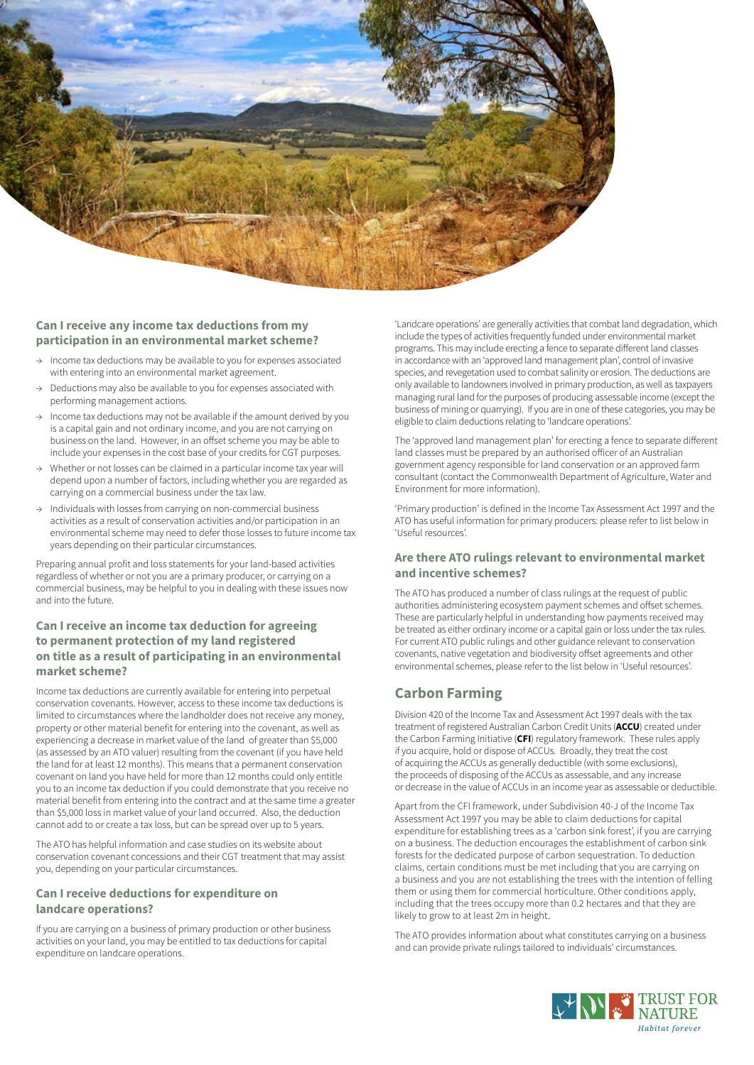

#### **Can I receive any income tax deductions from my participation in an environmental market scheme?**

- Income tax deductions may be available to you for expenses associated with entering into an environmental market agreement.
- Deductions may also be available to you for expenses associated with performing management actions.
- Income tax deductions may not be available if the amount derived by you is a capital gain and not ordinary income, and you are not carrying on business on the land. However, in an offset scheme you may be able to include your expenses in the cost base of your credits for CGT purposes.
- $\rightarrow$  Whether or not losses can be claimed in a particular income tax year will depend upon a number of factors, including whether you are regarded as carrying on a commercial business under the tax law.
- → Individuals with losses from carrying on non-commercial business activities as a result of conservation activities and/or participation in an environmental scheme may need to defer those losses to future income tax years depending on their particular circumstances.

Preparing annual profit and loss statements for your land-based activities regardless of whether or not you are a primary producer, or carrying on a commercial business, may be helpful to you in dealing with these issues now and into the future.

#### **Can I receive an income tax deduction for agreeing to permanent protection of my land registered on title as a result of participating in an environmental market scheme?**

Income tax deductions are currently available for entering into perpetual conservation covenants. However, access to these income tax deductions is limited to circumstances where the landholder does not receive any money, property or other material benefit for entering into the covenant, as well as experiencing a decrease in market value of the land of greater than \$5,000 (as assessed by an ATO valuer) resulting from the covenant (if you have held the land for at least 12 months). This means that a permanent conservation covenant on land you have held for more than 12 months could only entitle you to an income tax deduction if you could demonstrate that you receive no material benefit from entering into the contract and at the same time a greater than \$5,000 loss in market value of your land occurred. Also, the deduction cannot add to or create a tax loss, but can be spread over up to 5 years.

The ATO has helpful information and case studies on its website about conservation covenant concessions and their CGT treatment that may assist you, depending on your particular circumstances.

#### **Can I receive deductions for expenditure on landcare operations?**

If you are carrying on a business of primary production or other business activities on your land, you may be entitled to tax deductions for capital expenditure on landcare operations.

'Landcare operations' are generally activities that combat land degradation, which include the types of activities frequently funded under environmental market programs. This may include erecting a fence to separate different land classes in accordance with an 'approved land management plan', control of invasive species, and revegetation used to combat salinity or erosion. The deductions are only available to landowners involved in primary production, as well as taxpayers managing rural land for the purposes of producing assessable income (except the business of mining or quarrying). If you are in one of these categories, you may be eligible to claim deductions relating to 'landcare operations'.

The 'approved land management plan' for erecting a fence to separate different land classes must be prepared by an authorised officer of an Australian government agency responsible for land conservation or an approved farm consultant (contact the Commonwealth Department of Agriculture, Water and Environment for more information).

'Primary production' is defined in the Income Tax Assessment Act 1997 and the ATO has useful information for primary producers: please refer to list below in 'Useful resources'.

#### **Are there ATO rulings relevant to environmental market and incentive schemes?**

The ATO has produced a number of class rulings at the request of public authorities administering ecosystem payment schemes and offset schemes. These are particularly helpful in understanding how payments received may be treated as either ordinary income or a capital gain or loss under the tax rules. For current ATO public rulings and other guidance relevant to conservation covenants, native vegetation and biodiversity offset agreements and other environmental schemes, please refer to the list below in 'Useful resources'.

## **Carbon Farming**

Division 420 of the Income Tax and Assessment Act 1997 deals with the tax treatment of registered Australian Carbon Credit Units (**ACCU**) created under the Carbon Farming Initiative (**CFI**) regulatory framework. These rules apply if you acquire, hold or dispose of ACCUs. Broadly, they treat the cost of acquiring the ACCUs as generally deductible (with some exclusions), the proceeds of disposing of the ACCUs as assessable, and any increase or decrease in the value of ACCUs in an income year as assessable or deductible.

Apart from the CFI framework, under Subdivision 40-J of the Income Tax Assessment Act 1997 you may be able to claim deductions for capital expenditure for establishing trees as a 'carbon sink forest', if you are carrying on a business. The deduction encourages the establishment of carbon sink forests for the dedicated purpose of carbon sequestration. To deduction claims, certain conditions must be met including that you are carrying on a business and you are not establishing the trees with the intention of felling them or using them for commercial horticulture. Other conditions apply, including that the trees occupy more than 0.2 hectares and that they are likely to grow to at least 2m in height.

The ATO provides information about what constitutes carrying on a business and can provide private rulings tailored to individuals' circumstances.